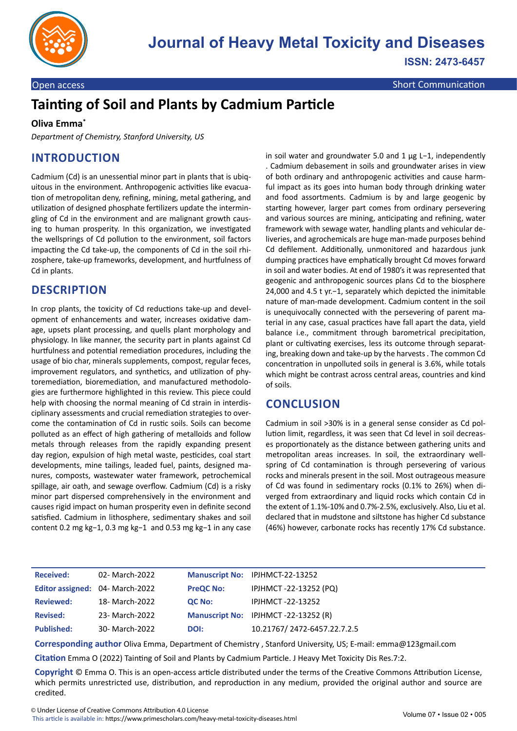

Open access Short Communication Communication Communication Communication

# **Tainting of Soil and Plants by Cadmium Particle**

#### **Oliva Emma\***

*Department of Chemistry, Stanford University, US*

## **INTRODUCTION**

Cadmium (Cd) is an unessential minor part in plants that is ubiquitous in the environment. Anthropogenic activities like evacuation of metropolitan deny, refining, mining, metal gathering, and utilization of designed phosphate fertilizers update the intermingling of Cd in the environment and are malignant growth causing to human prosperity. In this organization, we investigated the wellsprings of Cd pollution to the environment, soil factors impacting the Cd take-up, the components of Cd in the soil rhizosphere, take-up frameworks, development, and hurtfulness of Cd in plants.

#### **DESCRIPTION**

In crop plants, the toxicity of Cd reductions take-up and development of enhancements and water, increases oxidative damage, upsets plant processing, and quells plant morphology and physiology. In like manner, the security part in plants against Cd hurtfulness and potential remediation procedures, including the usage of bio char, minerals supplements, compost, regular feces, improvement regulators, and synthetics, and utilization of phytoremediation, bioremediation, and manufactured methodologies are furthermore highlighted in this review. This piece could help with choosing the normal meaning of Cd strain in interdisciplinary assessments and crucial remediation strategies to overcome the contamination of Cd in rustic soils. Soils can become polluted as an effect of high gathering of metalloids and follow metals through releases from the rapidly expanding present day region, expulsion of high metal waste, pesticides, coal start developments, mine tailings, leaded fuel, paints, designed manures, composts, wastewater water framework, petrochemical spillage, air oath, and sewage overflow. Cadmium (Cd) is a risky minor part dispersed comprehensively in the environment and causes rigid impact on human prosperity even in definite second satisfied. Cadmium in lithosphere, sedimentary shakes and soil content 0.2 mg kg−1, 0.3 mg kg−1 and 0.53 mg kg−1 in any case

in soil water and groundwater 5.0 and 1 μg L−1, independently . Cadmium debasement in soils and groundwater arises in view of both ordinary and anthropogenic activities and cause harmful impact as its goes into human body through drinking water and food assortments. Cadmium is by and large geogenic by starting however, larger part comes from ordinary persevering and various sources are mining, anticipating and refining, water framework with sewage water, handling plants and vehicular deliveries, and agrochemicals are huge man-made purposes behind Cd defilement. Additionally, unmonitored and hazardous junk dumping practices have emphatically brought Cd moves forward in soil and water bodies. At end of 1980's it was represented that geogenic and anthropogenic sources plans Cd to the biosphere 24,000 and 4.5 t yr.−1, separately which depicted the inimitable nature of man-made development. Cadmium content in the soil is unequivocally connected with the persevering of parent material in any case, casual practices have fall apart the data, yield balance i.e., commitment through barometrical precipitation, plant or cultivating exercises, less its outcome through separating, breaking down and take-up by the harvests . The common Cd concentration in unpolluted soils in general is 3.6%, while totals which might be contrast across central areas, countries and kind of soils.

#### **CONCLUSION**

Cadmium in soil >30% is in a general sense consider as Cd pollution limit, regardless, it was seen that Cd level in soil decreases proportionately as the distance between gathering units and metropolitan areas increases. In soil, the extraordinary wellspring of Cd contamination is through persevering of various rocks and minerals present in the soil. Most outrageous measure of Cd was found in sedimentary rocks (0.1% to 26%) when diverged from extraordinary and liquid rocks which contain Cd in the extent of 1.1%-10% and 0.7%-2.5%, exclusively. Also, Liu et al. declared that in mudstone and siltstone has higher Cd substance (46%) however, carbonate rocks has recently 17% Cd substance.

| <b>Received:</b>                | 02- March-2022 |                  | Manuscript No: IPJHMCT-22-13252     |
|---------------------------------|----------------|------------------|-------------------------------------|
| Editor assigned: 04- March-2022 |                | <b>PreQC No:</b> | IPJHMCT-22-13252 (PQ)               |
| <b>Reviewed:</b>                | 18- March-2022 | QC No:           | <b>IPJHMCT-22-13252</b>             |
| <b>Revised:</b>                 | 23- March-2022 |                  | Manuscript No: IPJHMCT-22-13252 (R) |
| <b>Published:</b>               | 30- March-2022 | DOI:             | 10.21767/2472-6457.22.7.2.5         |

**Corresponding author** Oliva Emma, Department of Chemistry , Stanford University, US; E-mail: emma@123gmail.com

**Citation** Emma O (2022) Tainting of Soil and Plants by Cadmium Particle. J Heavy Met Toxicity Dis Res.7:2.

**Copyright** © Emma O. This is an open-access article distributed under the terms of the Creative Commons Attribution License, which permits unrestricted use, distribution, and reproduction in any medium, provided the original author and source are credited.